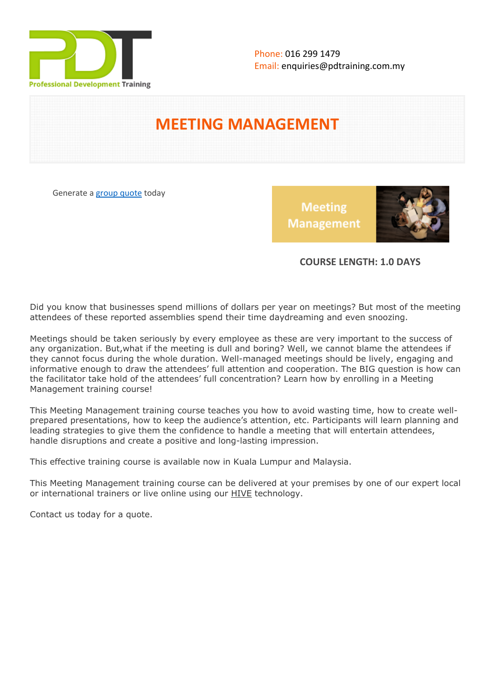

# **MEETING MANAGEMENT**

Generate a [group quote](https://pdtraining.com.my/inhouse-training-quote?cse=PDT0015) today

**Meeting Management** 



# **COURSE LENGTH: 1.0 DAYS**

Did you know that businesses spend millions of dollars per year on meetings? But most of the meeting attendees of these reported assemblies spend their time daydreaming and even snoozing.

Meetings should be taken seriously by every employee as these are very important to the success of any organization. But,what if the meeting is dull and boring? Well, we cannot blame the attendees if they cannot focus during the whole duration. Well-managed meetings should be lively, engaging and informative enough to draw the attendees' full attention and cooperation. The BIG question is how can the facilitator take hold of the attendees' full concentration? Learn how by enrolling in a Meeting Management training course!

This Meeting Management training course teaches you how to avoid wasting time, how to create wellprepared presentations, how to keep the audience's attention, etc. Participants will learn planning and leading strategies to give them the confidence to handle a meeting that will entertain attendees, handle disruptions and create a positive and long-lasting impression.

This effective training course is available now in Kuala Lumpur and Malaysia.

This Meeting Management training course can be delivered at your premises by one of our expert local or international trainers or live online using our HIVE technology.

Contact us today for a quote.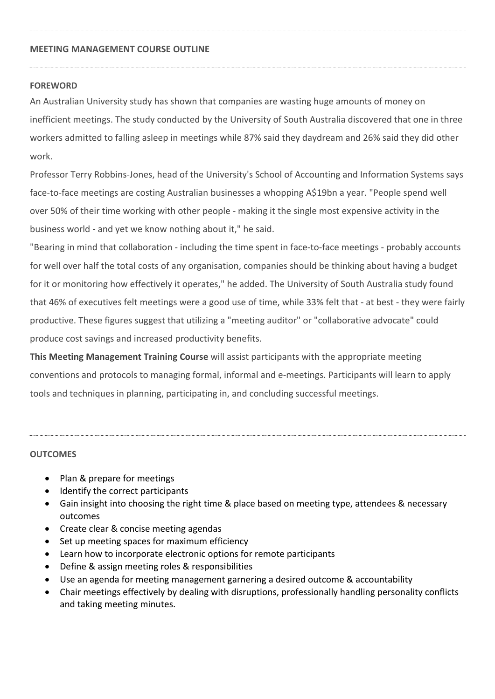# **MEETING MANAGEMENT COURSE OUTLINE**

## **FOREWORD**

An Australian University study has shown that companies are wasting huge amounts of money on inefficient meetings. The study conducted by the University of South Australia discovered that one in three workers admitted to falling asleep in meetings while 87% said they daydream and 26% said they did other work.

Professor Terry Robbins-Jones, head of the University's School of Accounting and Information Systems says face-to-face meetings are costing Australian businesses a whopping A\$19bn a year. "People spend well over 50% of their time working with other people - making it the single most expensive activity in the business world - and yet we know nothing about it," he said.

"Bearing in mind that collaboration - including the time spent in face-to-face meetings - probably accounts for well over half the total costs of any organisation, companies should be thinking about having a budget for it or monitoring how effectively it operates," he added. The University of South Australia study found that 46% of executives felt meetings were a good use of time, while 33% felt that - at best - they were fairly productive. These figures suggest that utilizing a "meeting auditor" or "collaborative advocate" could produce cost savings and increased productivity benefits.

**This Meeting Management Training Course** will assist participants with the appropriate meeting conventions and protocols to managing formal, informal and e-meetings. Participants will learn to apply tools and techniques in planning, participating in, and concluding successful meetings.

#### **OUTCOMES**

- Plan & prepare for meetings
- Identify the correct participants
- Gain insight into choosing the right time & place based on meeting type, attendees & necessary outcomes
- Create clear & concise meeting agendas
- Set up meeting spaces for maximum efficiency
- Learn how to incorporate electronic options for remote participants
- Define & assign meeting roles & responsibilities
- Use an agenda for meeting management garnering a desired outcome & accountability
- Chair meetings effectively by dealing with disruptions, professionally handling personality conflicts and taking meeting minutes.